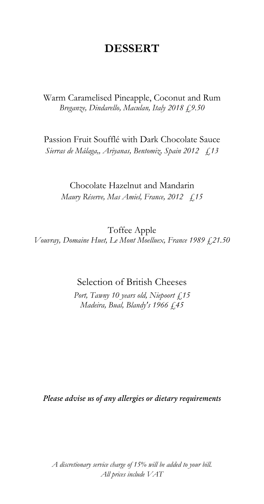# DESSERT

Warm Caramelised Pineapple, Coconut and Rum *Breganze, Dindarello, Maculan, Italy 2018 £9.50*

Passion Fruit Soufflé with Dark Chocolate Sauce *Sierras de Málaga,, Ariyanas, Bentomiz, Spain 2012 £13*

Chocolate Hazelnut and Mandarin *Maury Réserve, Mas Amiel, France, 2012 £15*

Toffee Apple *Vouvray, Domaine Huet, Le Mont Moelluex, France 1989 £21.50*

## Selection of British Cheeses

*Port, Tawny 10 years old, Niepoort £15 Madeira, Bual, Blandy's 1966 £45*

*Please advise us of any allergies or dietary requirements*

*A discretionary service charge of 15% will be added to your bill. All prices include VAT*